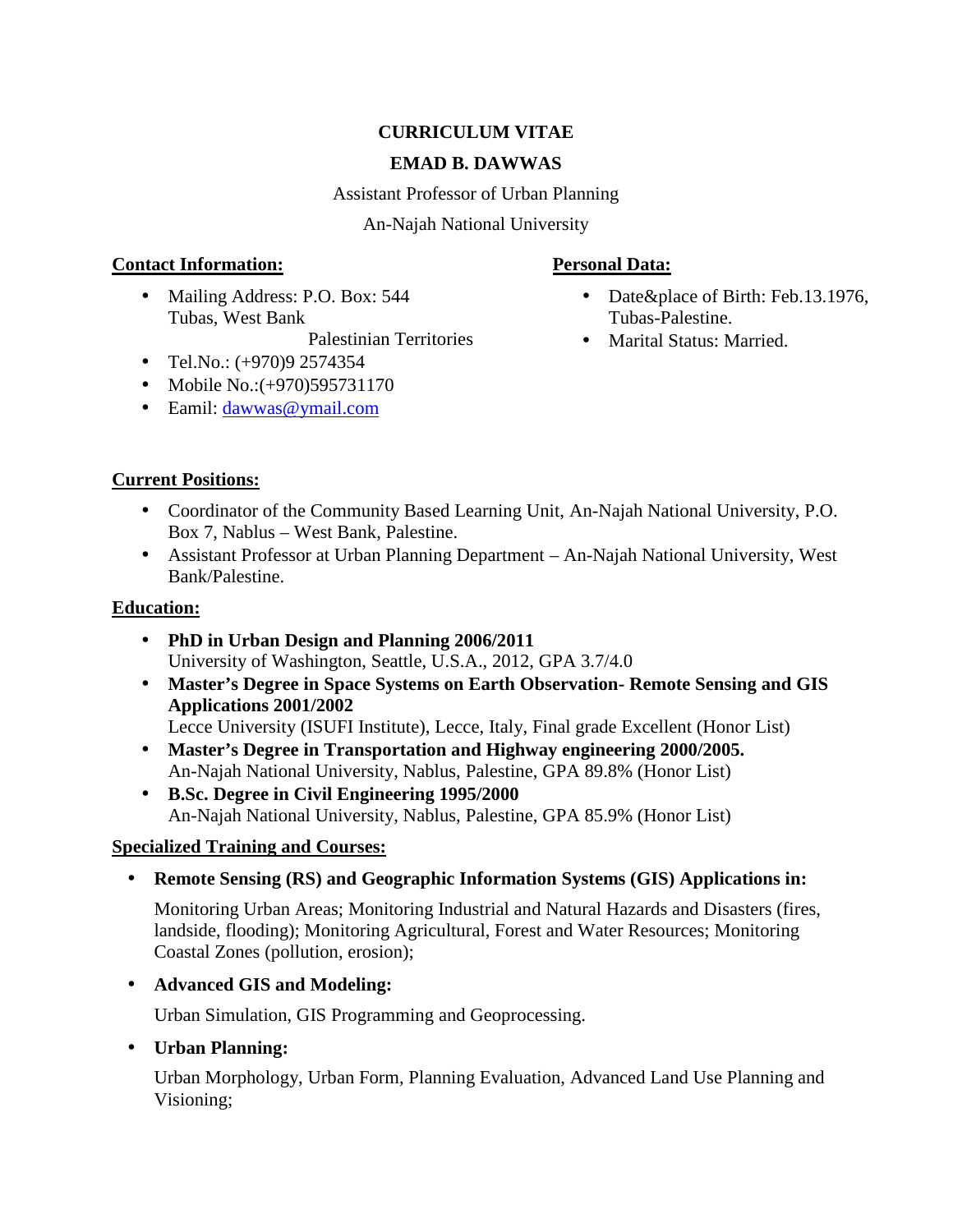# **CURRICULUM VITAE**

## **EMAD B. DAWWAS**

Assistant Professor of Urban Planning

An-Najah National University

## **Contact Information:**

• Mailing Address: P.O. Box: 544 Tubas, West Bank

Palestinian Territories

- $\bullet$  Tel.No.: (+970)9 2574354
- Mobile No.: (+970) 595731170
- Eamil: dawwas@ymail.com

# **Personal Data:**

- Date&place of Birth: Feb.13.1976, Tubas-Palestine.
- Marital Status: Married.

# **Current Positions:**

- Coordinator of the Community Based Learning Unit, An-Najah National University, P.O. Box 7, Nablus – West Bank, Palestine.
- Assistant Professor at Urban Planning Department An-Najah National University, West Bank/Palestine.

# **Education:**

- **PhD in Urban Design and Planning 2006/2011** University of Washington, Seattle, U.S.A., 2012, GPA 3.7/4.0
- **Master's Degree in Space Systems on Earth Observation- Remote Sensing and GIS Applications 2001/2002**
	- Lecce University (ISUFI Institute), Lecce, Italy, Final grade Excellent (Honor List)
- **Master's Degree in Transportation and Highway engineering 2000/2005.** An-Najah National University, Nablus, Palestine, GPA 89.8% (Honor List)
- **B.Sc. Degree in Civil Engineering 1995/2000** An-Najah National University, Nablus, Palestine, GPA 85.9% (Honor List)

# **Specialized Training and Courses:**

**Remote Sensing (RS) and Geographic Information Systems (GIS) Applications in:**

Monitoring Urban Areas; Monitoring Industrial and Natural Hazards and Disasters (fires, landside, flooding); Monitoring Agricultural, Forest and Water Resources; Monitoring Coastal Zones (pollution, erosion);

# **Advanced GIS and Modeling:**

Urban Simulation, GIS Programming and Geoprocessing.

# **Urban Planning:**

Urban Morphology, Urban Form, Planning Evaluation, Advanced Land Use Planning and Visioning;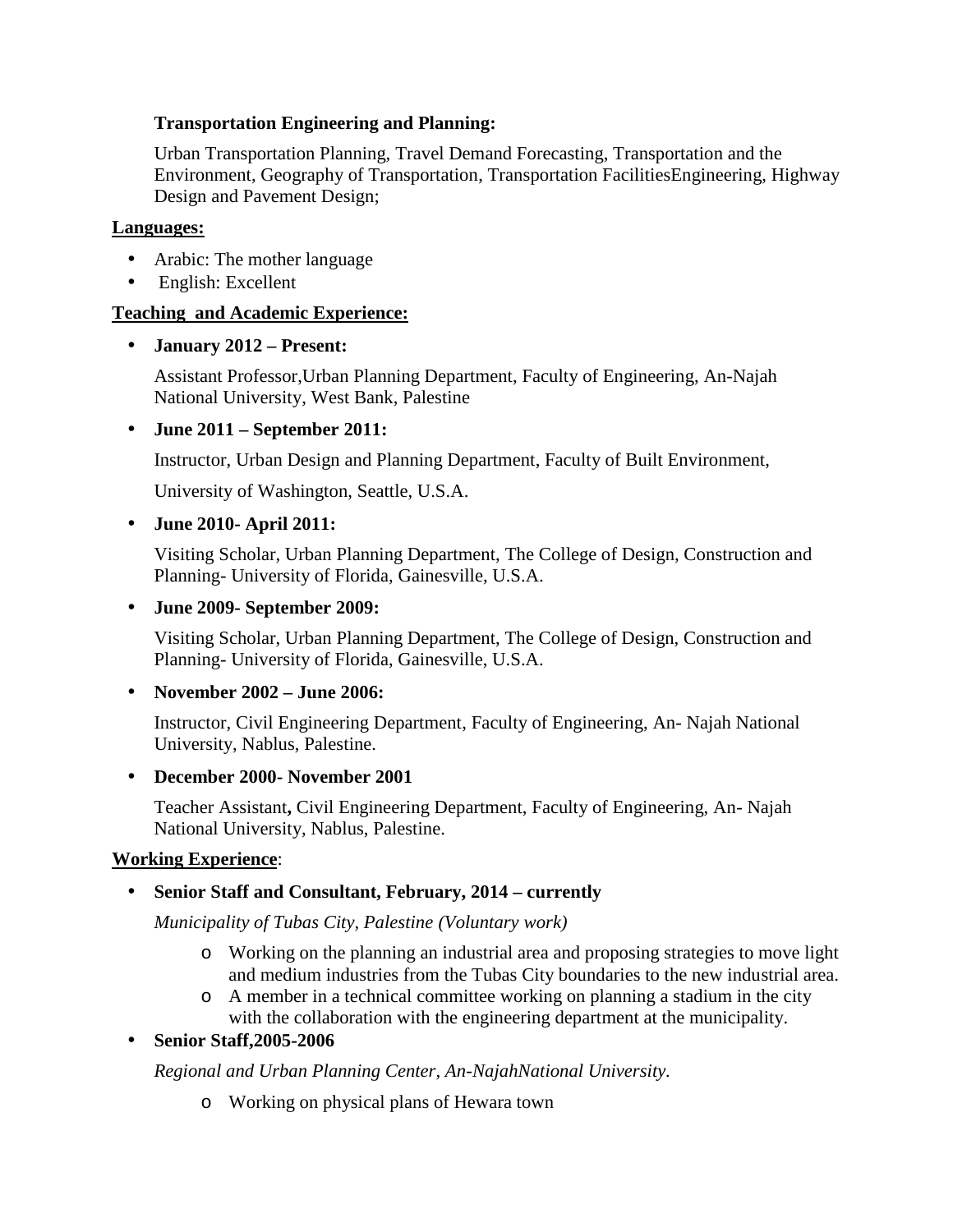## **Transportation Engineering and Planning:**

Urban Transportation Planning, Travel Demand Forecasting, Transportation and the Environment, Geography of Transportation, Transportation FacilitiesEngineering, Highway Design and Pavement Design;

#### **Languages:**

- Arabic: The mother language
- English: Excellent

## **Teaching and Academic Experience:**

## **January 2012 – Present:**

Assistant Professor,Urban Planning Department, Faculty of Engineering, An-Najah National University, West Bank, Palestine

## **June 2011 – September 2011:**

Instructor, Urban Design and Planning Department, Faculty of Built Environment,

University of Washington, Seattle, U.S.A.

## **June 2010- April 2011:**

Visiting Scholar, Urban Planning Department, The College of Design, Construction and Planning- University of Florida, Gainesville, U.S.A.

## **June 2009- September 2009:**

Visiting Scholar, Urban Planning Department, The College of Design, Construction and Planning- University of Florida, Gainesville, U.S.A.

## **November 2002 – June 2006:**

Instructor, Civil Engineering Department, Faculty of Engineering, An- Najah National University, Nablus, Palestine.

## **December 2000- November 2001**

Teacher Assistant**,** Civil Engineering Department, Faculty of Engineering, An- Najah National University, Nablus, Palestine.

## **Working Experience**:

# **Senior Staff and Consultant, February, 2014 – currently**

*Municipality of Tubas City, Palestine (Voluntary work)*

- o Working on the planning an industrial area and proposing strategies to move light and medium industries from the Tubas City boundaries to the new industrial area.
- o A member in a technical committee working on planning a stadium in the city with the collaboration with the engineering department at the municipality.

# **Senior Staff,2005-2006**

*Regional and Urban Planning Center, An-NajahNational University.*

o Working on physical plans of Hewara town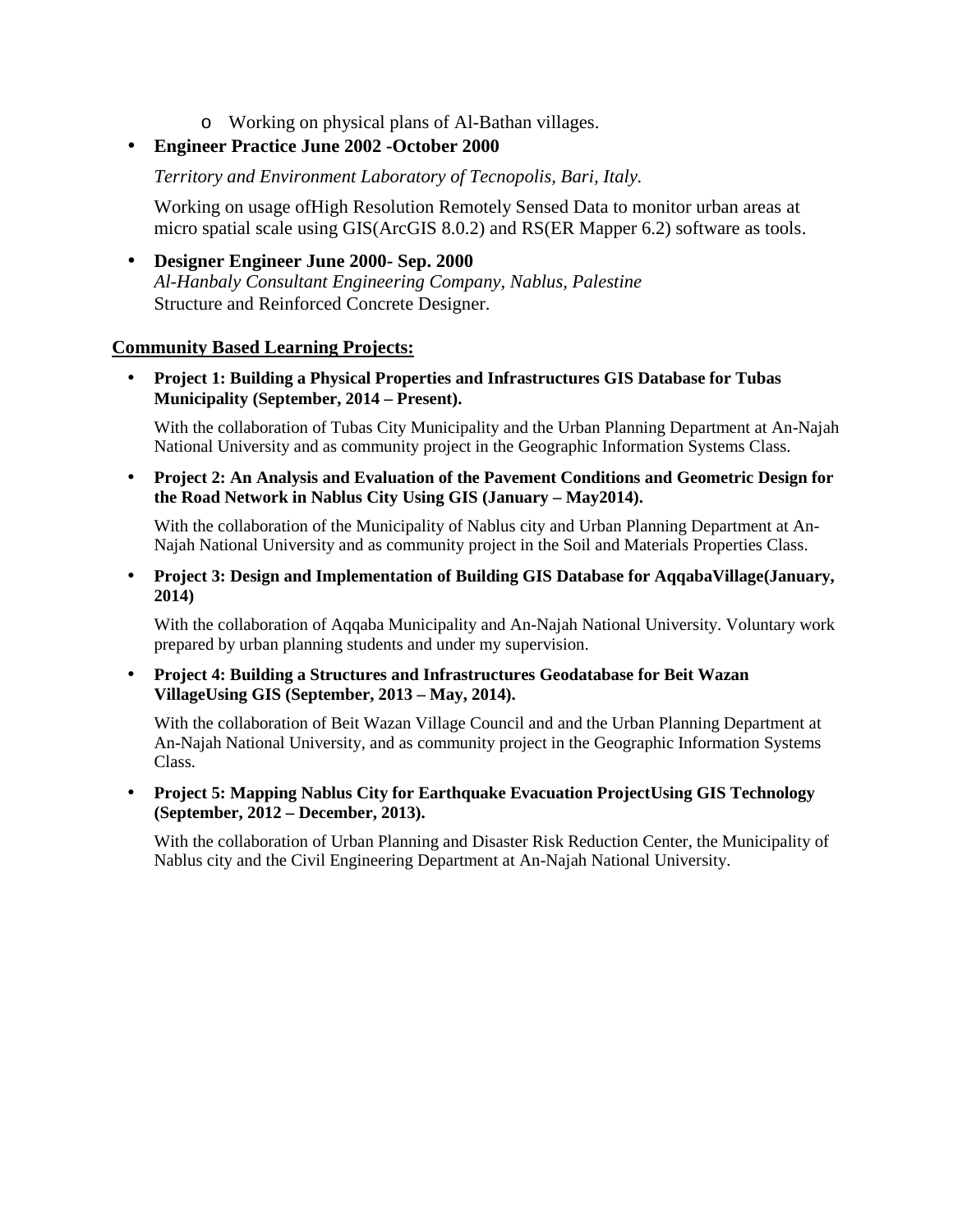o Working on physical plans of Al-Bathan villages.

## **Engineer Practice June 2002 -October 2000**

*Territory and Environment Laboratory of Tecnopolis, Bari, Italy.*

Working on usage ofHigh Resolution Remotely Sensed Data to monitor urban areas at micro spatial scale using GIS(ArcGIS 8.0.2) and RS(ER Mapper 6.2) software as tools.

 **Designer Engineer June 2000- Sep. 2000** *Al-Hanbaly Consultant Engineering Company, Nablus, Palestine* Structure and Reinforced Concrete Designer.

#### **Community Based Learning Projects:**

 **Project 1: Building a Physical Properties and Infrastructures GIS Database for Tubas Municipality (September, 2014 – Present).**

With the collaboration of Tubas City Municipality and the Urban Planning Department at An-Najah National University and as community project in the Geographic Information Systems Class.

 **Project 2: An Analysis and Evaluation of the Pavement Conditions and Geometric Design for the Road Network in Nablus City Using GIS (January – May2014).**

With the collaboration of the Municipality of Nablus city and Urban Planning Department at An- Najah National University and as community project in the Soil and Materials Properties Class.

 **Project 3: Design and Implementation of Building GIS Database for AqqabaVillage(January, 2014)**

With the collaboration of Aqqaba Municipality and An-Najah National University. Voluntary work prepared by urban planning students and under my supervision.

 **Project 4: Building a Structures and Infrastructures Geodatabase for Beit Wazan VillageUsing GIS (September, 2013 – May, 2014).**

With the collaboration of Beit Wazan Village Council and and the Urban Planning Department at An-Najah National University, and as community project in the Geographic Information Systems Class.

 **Project 5: Mapping Nablus City for Earthquake Evacuation ProjectUsing GIS Technology (September, 2012 – December, 2013).**

With the collaboration of Urban Planning and Disaster Risk Reduction Center, the Municipality of Nablus city and the Civil Engineering Department at An-Najah National University.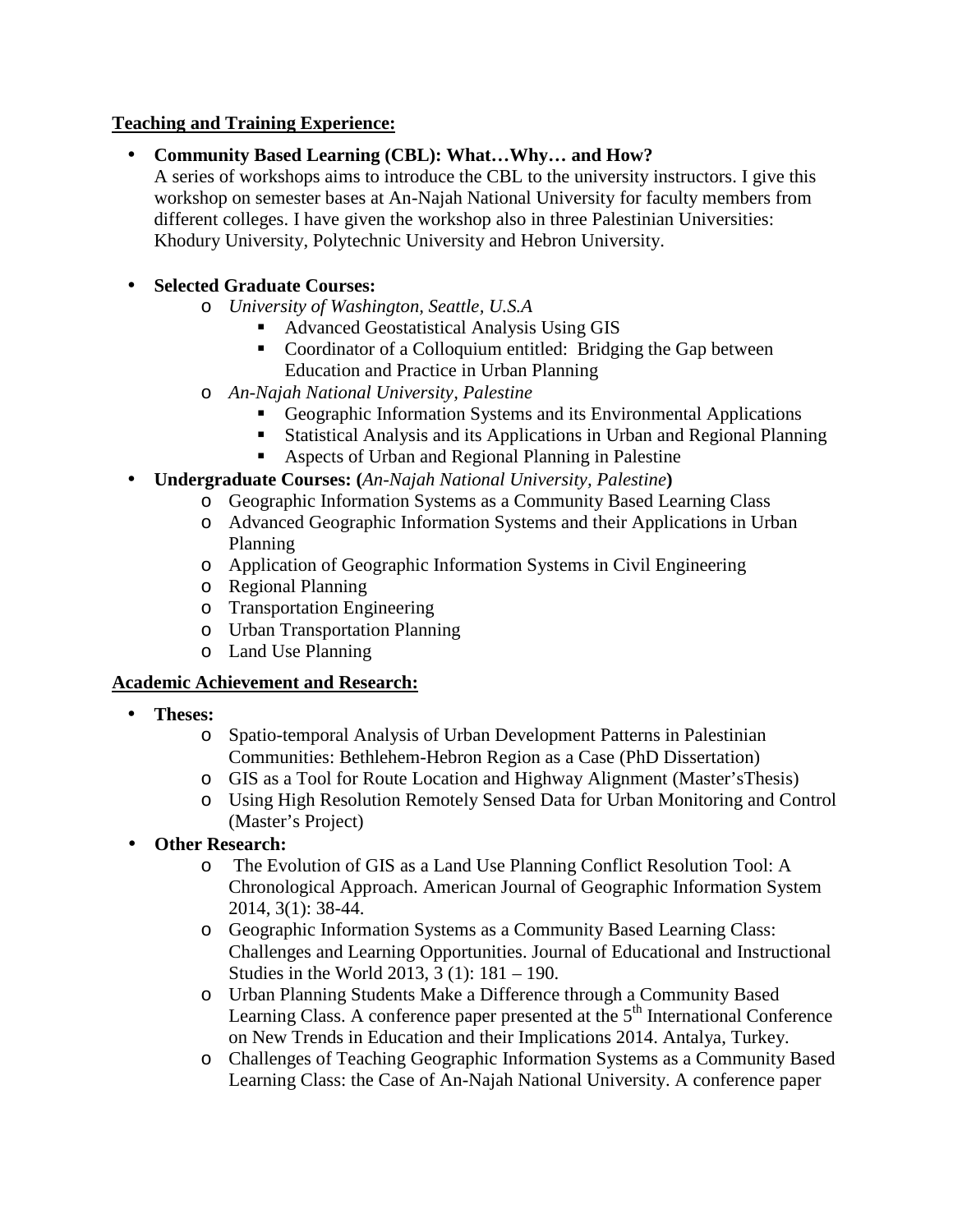## **Teaching and Training Experience:**

**Community Based Learning (CBL): What…Why… and How?**

A series of workshops aims to introduce the CBL to the university instructors. I give this workshop on semester bases at An-Najah National University for faculty members from different colleges. I have given the workshop also in three Palestinian Universities: Khodury University, Polytechnic University and Hebron University.

# **Selected Graduate Courses:**

- o *University of Washington, Seattle, U.S.A*
	- Advanced Geostatistical Analysis Using GIS
	- Coordinator of a Colloquium entitled: Bridging the Gap between Education and Practice in Urban Planning
- o *An-Najah National University, Palestine*
	- Geographic Information Systems and its Environmental Applications
	- Statistical Analysis and its Applications in Urban and Regional Planning
	- Aspects of Urban and Regional Planning in Palestine
- **Undergraduate Courses: (***An-Najah National University, Palestine***)**
	- o Geographic Information Systems as a Community Based Learning Class
	- o Advanced Geographic Information Systems and their Applications in Urban Planning
	- o Application of Geographic Information Systems in Civil Engineering
	- o Regional Planning
	- o Transportation Engineering
	- o Urban Transportation Planning
	- o Land Use Planning

## **Academic Achievement and Research:**

- **Theses:**
	- o Spatio-temporal Analysis of Urban Development Patterns in Palestinian Communities: Bethlehem-Hebron Region as a Case (PhD Dissertation)
	- o GIS as a Tool for Route Location and Highway Alignment (Master'sThesis)
	- o Using High Resolution Remotely Sensed Data for Urban Monitoring and Control (Master's Project)
- **Other Research:**
	- o The Evolution of GIS as a Land Use Planning Conflict Resolution Tool: A Chronological Approach. American Journal of Geographic Information System 2014, 3(1): 38-44.
	- o Geographic Information Systems as a Community Based Learning Class: Challenges and Learning Opportunities. Journal of Educational and Instructional Studies in the World 2013, 3 (1): 181 – 190.
	- o Urban Planning Students Make a Difference through a Community Based Learning Class. A conference paper presented at the  $5<sup>th</sup>$  International Conference on New Trends in Education and their Implications 2014. Antalya, Turkey.
	- o Challenges of Teaching Geographic Information Systems as a Community Based Learning Class: the Case of An-Najah National University. A conference paper